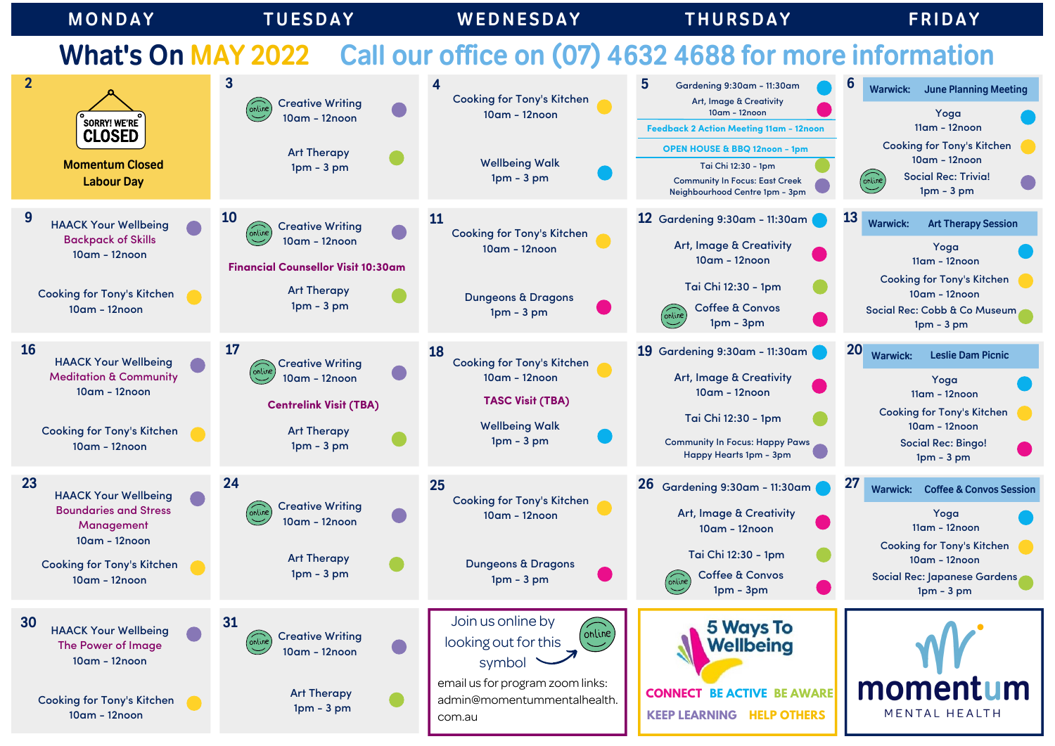